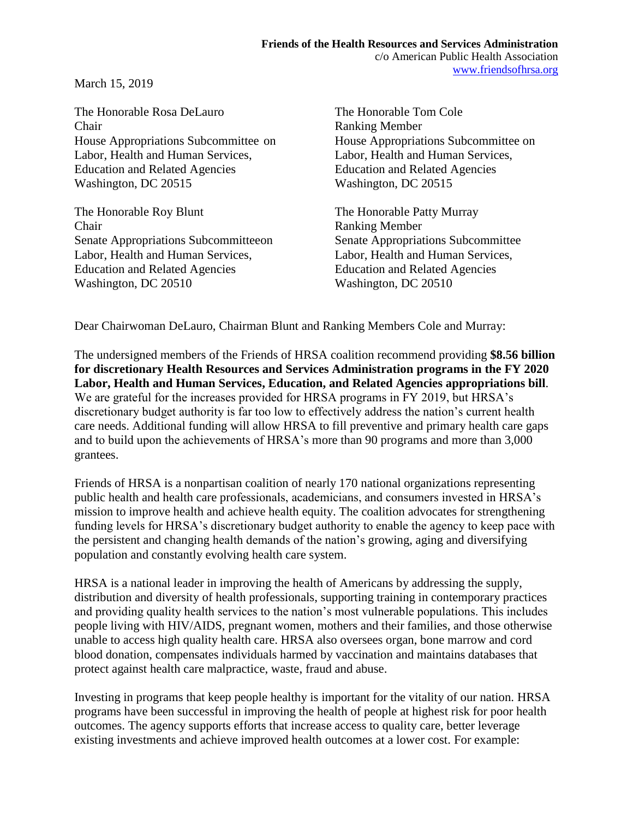March 15, 2019

The Honorable Rosa DeLauro The Honorable Tom Cole Chair Ranking Member Labor, Health and Human Services, Labor, Health and Human Services, Education and Related Agencies Education and Related Agencies Washington, DC 20515 Washington, DC 20515

The Honorable Roy Blunt The Honorable Patty Murray Chair Ranking Member Senate Appropriations Subcommitteeon Senate Appropriations Subcommittee Labor, Health and Human Services, Labor, Health and Human Services, Education and Related Agencies Education and Related Agencies Washington, DC 20510 Washington, DC 20510

House Appropriations Subcommittee on House Appropriations Subcommittee on

Dear Chairwoman DeLauro, Chairman Blunt and Ranking Members Cole and Murray:

The undersigned members of the Friends of HRSA coalition recommend providing **\$8.56 billion for discretionary Health Resources and Services Administration programs in the FY 2020 Labor, Health and Human Services, Education, and Related Agencies appropriations bill**. We are grateful for the increases provided for HRSA programs in FY 2019, but HRSA's discretionary budget authority is far too low to effectively address the nation's current health care needs. Additional funding will allow HRSA to fill preventive and primary health care gaps and to build upon the achievements of HRSA's more than 90 programs and more than 3,000 grantees.

Friends of HRSA is a nonpartisan coalition of nearly 170 national organizations representing public health and health care professionals, academicians, and consumers invested in HRSA's mission to improve health and achieve health equity. The coalition advocates for strengthening funding levels for HRSA's discretionary budget authority to enable the agency to keep pace with the persistent and changing health demands of the nation's growing, aging and diversifying population and constantly evolving health care system.

HRSA is a national leader in improving the health of Americans by addressing the supply, distribution and diversity of health professionals, supporting training in contemporary practices and providing quality health services to the nation's most vulnerable populations. This includes people living with HIV/AIDS, pregnant women, mothers and their families, and those otherwise unable to access high quality health care. HRSA also oversees organ, bone marrow and cord blood donation, compensates individuals harmed by vaccination and maintains databases that protect against health care malpractice, waste, fraud and abuse.

Investing in programs that keep people healthy is important for the vitality of our nation. HRSA programs have been successful in improving the health of people at highest risk for poor health outcomes. The agency supports efforts that increase access to quality care, better leverage existing investments and achieve improved health outcomes at a lower cost. For example: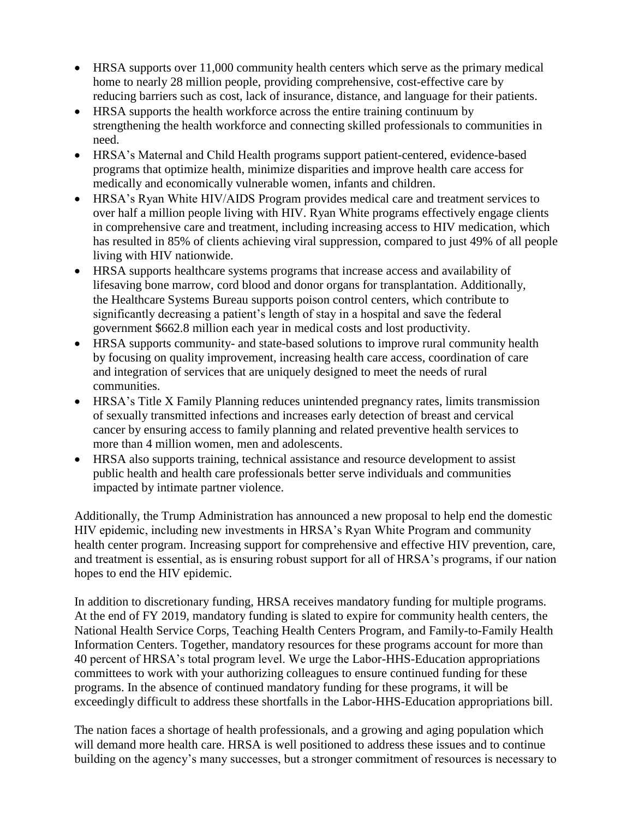- HRSA supports over 11,000 community health centers which serve as the primary medical home to nearly 28 million people, providing comprehensive, cost-effective care by reducing barriers such as cost, lack of insurance, distance, and language for their patients.
- HRSA supports the health workforce across the entire training continuum by strengthening the health workforce and connecting skilled professionals to communities in need.
- HRSA's Maternal and Child Health programs support patient-centered, evidence-based programs that optimize health, minimize disparities and improve health care access for medically and economically vulnerable women, infants and children.
- HRSA's Ryan White HIV/AIDS Program provides medical care and treatment services to over half a million people living with HIV. Ryan White programs effectively engage clients in comprehensive care and treatment, including increasing access to HIV medication, which has resulted in 85% of clients achieving viral suppression, compared to just 49% of all people living with HIV nationwide.
- HRSA supports healthcare systems programs that increase access and availability of lifesaving bone marrow, cord blood and donor organs for transplantation. Additionally, the Healthcare Systems Bureau supports poison control centers, which contribute to significantly decreasing a patient's length of stay in a hospital and save the federal government \$662.8 million each year in medical costs and lost productivity.
- HRSA supports community- and state-based solutions to improve rural community health by focusing on quality improvement, increasing health care access, coordination of care and integration of services that are uniquely designed to meet the needs of rural communities.
- HRSA's Title X Family Planning reduces unintended pregnancy rates, limits transmission of sexually transmitted infections and increases early detection of breast and cervical cancer by ensuring access to family planning and related preventive health services to more than 4 million women, men and adolescents.
- HRSA also supports training, technical assistance and resource development to assist public health and health care professionals better serve individuals and communities impacted by intimate partner violence.

Additionally, the Trump Administration has announced a new proposal to help end the domestic HIV epidemic, including new investments in HRSA's Ryan White Program and community health center program. Increasing support for comprehensive and effective HIV prevention, care, and treatment is essential, as is ensuring robust support for all of HRSA's programs, if our nation hopes to end the HIV epidemic.

In addition to discretionary funding, HRSA receives mandatory funding for multiple programs. At the end of FY 2019, mandatory funding is slated to expire for community health centers, the National Health Service Corps, Teaching Health Centers Program, and Family-to-Family Health Information Centers. Together, mandatory resources for these programs account for more than 40 percent of HRSA's total program level. We urge the Labor-HHS-Education appropriations committees to work with your authorizing colleagues to ensure continued funding for these programs. In the absence of continued mandatory funding for these programs, it will be exceedingly difficult to address these shortfalls in the Labor-HHS-Education appropriations bill.

The nation faces a shortage of health professionals, and a growing and aging population which will demand more health care. HRSA is well positioned to address these issues and to continue building on the agency's many successes, but a stronger commitment of resources is necessary to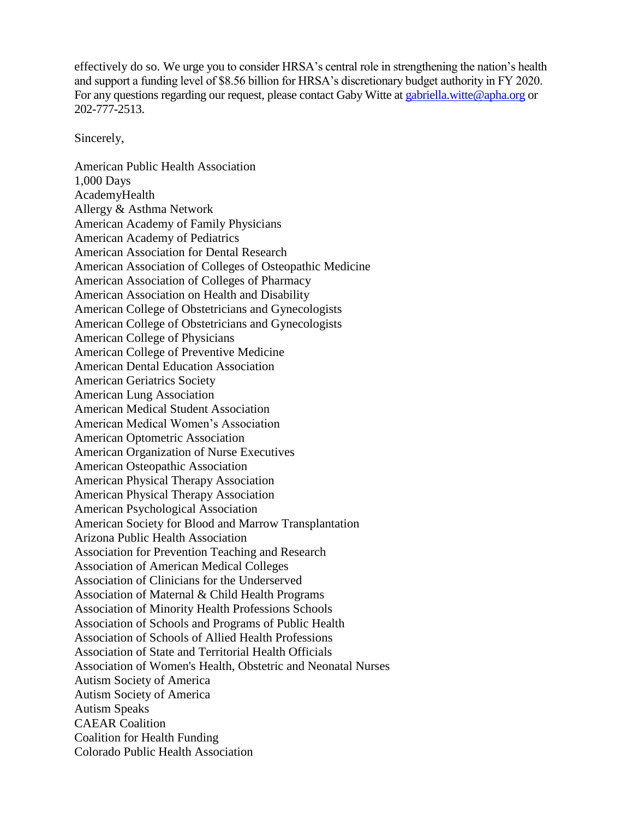effectively do so. We urge you to consider HRSA's central role in strengthening the nation's health and support a funding level of \$8.56 billion for HRSA's discretionary budget authority in FY 2020. For any questions regarding our request, please contact Gaby Witte at [gabriella.witte@apha.org](mailto:gabriella.witte@apha.org) or 202-777-2513.

Sincerely,

American Public Health Association 1,000 Days AcademyHealth Allergy & Asthma Network American Academy of Family Physicians American Academy of Pediatrics American Association for Dental Research American Association of Colleges of Osteopathic Medicine American Association of Colleges of Pharmacy American Association on Health and Disability American College of Obstetricians and Gynecologists American College of Obstetricians and Gynecologists American College of Physicians American College of Preventive Medicine American Dental Education Association American Geriatrics Society American Lung Association American Medical Student Association American Medical Women's Association American Optometric Association American Organization of Nurse Executives American Osteopathic Association American Physical Therapy Association American Physical Therapy Association American Psychological Association American Society for Blood and Marrow Transplantation Arizona Public Health Association Association for Prevention Teaching and Research Association of American Medical Colleges Association of Clinicians for the Underserved Association of Maternal & Child Health Programs Association of Minority Health Professions Schools Association of Schools and Programs of Public Health Association of Schools of Allied Health Professions Association of State and Territorial Health Officials Association of Women's Health, Obstetric and Neonatal Nurses Autism Society of America Autism Society of America Autism Speaks CAEAR Coalition Coalition for Health Funding Colorado Public Health Association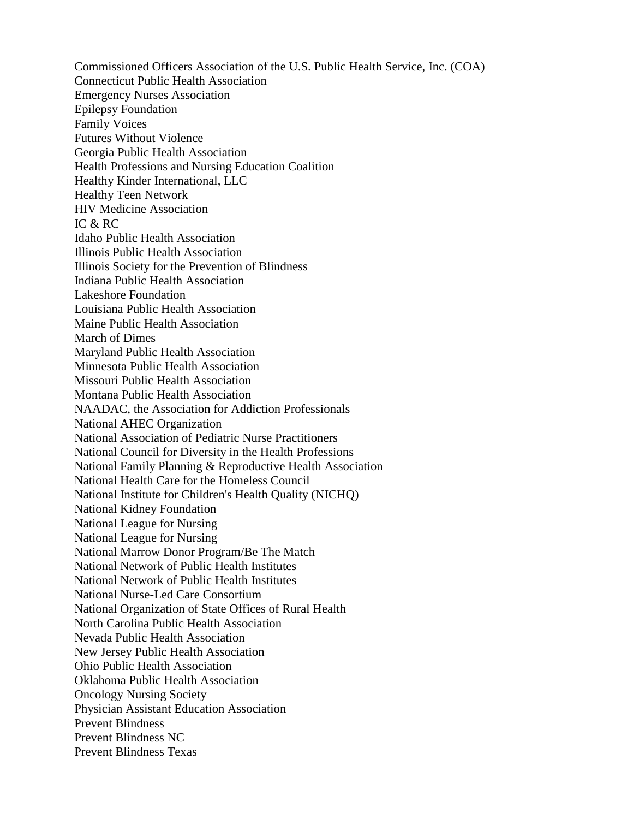Commissioned Officers Association of the U.S. Public Health Service, Inc. (COA) Connecticut Public Health Association Emergency Nurses Association Epilepsy Foundation Family Voices Futures Without Violence Georgia Public Health Association Health Professions and Nursing Education Coalition Healthy Kinder International, LLC Healthy Teen Network HIV Medicine Association IC & RC Idaho Public Health Association Illinois Public Health Association Illinois Society for the Prevention of Blindness Indiana Public Health Association Lakeshore Foundation Louisiana Public Health Association Maine Public Health Association March of Dimes Maryland Public Health Association Minnesota Public Health Association Missouri Public Health Association Montana Public Health Association NAADAC, the Association for Addiction Professionals National AHEC Organization National Association of Pediatric Nurse Practitioners National Council for Diversity in the Health Professions National Family Planning & Reproductive Health Association National Health Care for the Homeless Council National Institute for Children's Health Quality (NICHQ) National Kidney Foundation National League for Nursing National League for Nursing National Marrow Donor Program/Be The Match National Network of Public Health Institutes National Network of Public Health Institutes National Nurse-Led Care Consortium National Organization of State Offices of Rural Health North Carolina Public Health Association Nevada Public Health Association New Jersey Public Health Association Ohio Public Health Association Oklahoma Public Health Association Oncology Nursing Society Physician Assistant Education Association Prevent Blindness Prevent Blindness NC Prevent Blindness Texas